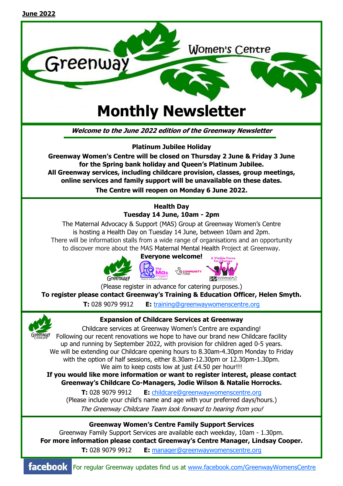

**Greenway Women's Centre will be closed on Thursday 2 June & Friday 3 June for the Spring bank holiday and Queen's Platinum Jubilee. All Greenway services, including childcare provision, classes, group meetings, online services and family support will be unavailable on these dates. The Centre will reopen on Monday 6 June 2022.** 

# **Health Day Tuesday 14 June, 10am - 2pm**

The Maternal Advocacy & Support (MAS) Group at Greenway Women's Centre is hosting a Health Day on Tuesday 14 June, between 10am and 2pm. There will be information stalls from a wide range of organisations and an opportunity to discover more about the MAS Maternal Mental Health Project at Greenway.



(Please register in advance for catering purposes.) **To register please contact Greenway's Training & Education Officer, Helen Smyth.** 

**T:** 028 9079 9912 **E:** training@greenwaywomenscentre.org



**Expansion of Childcare Services at Greenway** 

Childcare services at Greenway Women's Centre are expanding! Following our recent renovations we hope to have our brand new Childcare facility up and running by September 2022, with provision for children aged 0-5 years. We will be extending our Childcare opening hours to 8.30am-4.30pm Monday to Friday with the option of half sessions, either 8.30am-12.30pm or 12.30pm-1.30pm. We aim to keep costs low at just £4.50 per hour!!!

**If you would like more information or want to register interest, please contact Greenway's Childcare Co-Managers, Jodie Wilson & Natalie Horrocks.** 

**T:** 028 9079 9912 **E:** childcare@greenwaywomenscentre.org (Please include your child's name and age with your preferred days/hours.) The Greenway Childcare Team look forward to hearing from you!

**Greenway Women's Centre Family Support Services**

Greenway Family Support Services are available each weekday, 10am - 1.30pm. **For more information please contact Greenway's Centre Manager, Lindsay Cooper. T:** 028 9079 9912 **E:** manager@greenwaywomenscentre.org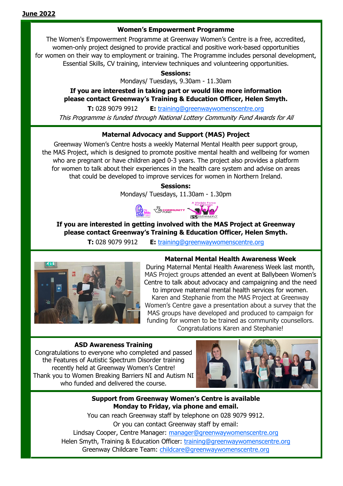### **Women's Empowerment Programme**

The Women's Empowerment Programme at Greenway Women's Centre is a free, accredited, women-only project designed to provide practical and positive work-based opportunities for women on their way to employment or training. The Programme includes personal development, Essential Skills, CV training, interview techniques and volunteering opportunities.

**Sessions:**

Mondays/ Tuesdays, 9.30am - 11.30am

# **If you are interested in taking part or would like more information please contact Greenway's Training & Education Officer, Helen Smyth.**

**T:** 028 9079 9912 **E:** training@greenwaywomenscentre.org This Programme is funded through National Lottery Community Fund Awards for All

# **Maternal Advocacy and Support (MAS) Project**

Greenway Women's Centre hosts a weekly Maternal Mental Health peer support group, the MAS Project, which is designed to promote positive mental health and wellbeing for women who are pregnant or have children aged 0-3 years. The project also provides a platform for women to talk about their experiences in the health care system and advise on areas that could be developed to improve services for women in Northern Ireland.

> **Sessions:** Mondays/ Tuesdays, 11.30am - 1.30pm

Mas & COMMUNITY

# **If you are interested in getting involved with the MAS Project at Greenway please contact Greenway's Training & Education Officer, Helen Smyth.**

**T:** 028 9079 9912 **E:** training@greenwaywomenscentre.org



## **Maternal Mental Health Awareness Week**

During Maternal Mental Health Awareness Week last month, MAS Project groups attended an event at Ballybeen Women's Centre to talk about advocacy and campaigning and the need to improve maternal mental health services for women. Karen and Stephanie from the MAS Project at Greenway Women's Centre gave a presentation about a survey that the MAS groups have developed and produced to campaign for funding for women to be trained as community counsellors. Congratulations Karen and Stephanie!

#### **ASD Awareness Training**

Congratulations to everyone who completed and passed the Features of Autistic Spectrum Disorder training recently held at Greenway Women's Centre! Thank you to Women Breaking Barriers NI and Autism NI who funded and delivered the course.



### **Support from Greenway Women's Centre is available Monday to Friday, via phone and email.**

You can reach Greenway staff by telephone on 028 9079 9912. Or you can contact Greenway staff by email: Lindsay Cooper, Centre Manager: manager@greenwaywomenscentre.org Helen Smyth, Training & Education Officer: training@greenwaywomenscentre.org Greenway Childcare Team: childcare@greenwaywomenscentre.org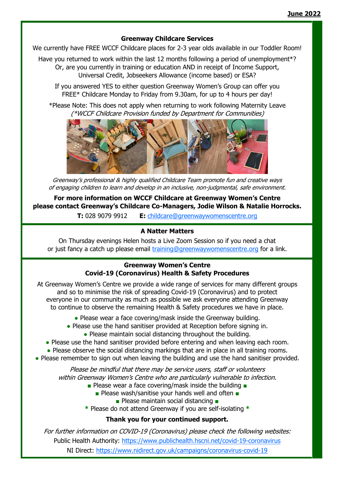#### **Greenway Childcare Services**

We currently have FREE WCCF Childcare places for 2-3 year olds available in our Toddler Room!

Have you returned to work within the last 12 months following a period of unemployment<sup>\*?</sup> Or, are you currently in training or education AND in receipt of Income Support,

Universal Credit, Jobseekers Allowance (income based) or ESA?

If you answered YES to either question Greenway Women's Group can offer you FREE\* Childcare Monday to Friday from 9.30am, for up to 4 hours per day!

\*Please Note: This does not apply when returning to work following Maternity Leave (\*WCCF Childcare Provision funded by Department for Communities)



Greenway's professional & highly qualified Childcare Team promote fun and creative ways of engaging children to learn and develop in an inclusive, non-judgmental, safe environment.

**For more information on WCCF Childcare at Greenway Women's Centre please contact Greenway's Childcare Co-Managers, Jodie Wilson & Natalie Horrocks.** 

**T:** 028 9079 9912 **E:** childcare@greenwaywomenscentre.org

### **A Natter Matters**

On Thursday evenings Helen hosts a Live Zoom Session so if you need a chat or just fancy a catch up please email training@greenwaywomenscentre.org for a link.

## **Greenway Women's Centre Covid-19 (Coronavirus) Health & Safety Procedures**

At Greenway Women's Centre we provide a wide range of services for many different groups and so to minimise the risk of spreading Covid-19 (Coronavirus) and to protect everyone in our community as much as possible we ask everyone attending Greenway to continue to observe the remaining Health & Safety procedures we have in place.

- Please wear a face covering/mask inside the Greenway building.
- Please use the hand sanitiser provided at Reception before signing in.
	- Please maintain social distancing throughout the building.

• Please use the hand sanitiser provided before entering and when leaving each room.

- Please observe the social distancing markings that are in place in all training rooms.
- Please remember to sign out when leaving the building and use the hand sanitiser provided.

Please be mindful that there may be service users, staff or volunteers within Greenway Women's Centre who are particularly vulnerable to infection.

- Please wear a face covering/mask inside the building
	- Please wash/sanitise your hands well and often
		- Please maintain social distancing ■

**\*** Please do not attend Greenway if you are self-isolating **\***

# **Thank you for your continued support.**

For further information on COVID-19 (Coronavirus) please check the following websites: Public Health Authority: https://www.publichealth.hscni.net/covid-19-coronavirus NI Direct: https://www.nidirect.gov.uk/campaigns/coronavirus-covid-19